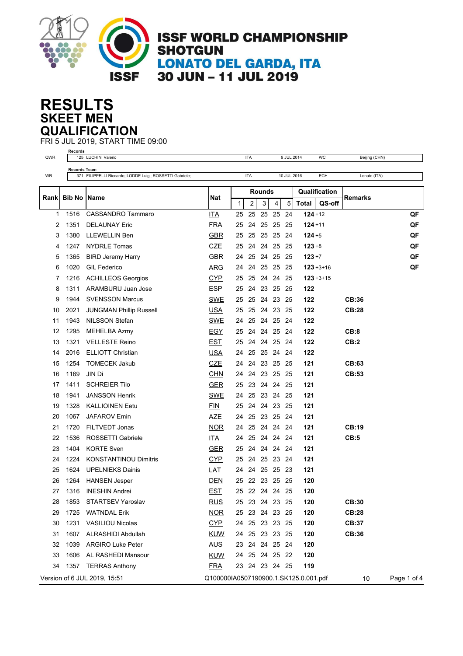

## **SKEET MEN RESULTS QUALIFICATION**

FRI 5 JUL 2019, START TIME 09:00

| QWR  | Records             | 125 LUCHINI Valerio                                      |                                       |    | <b>ITA</b>     |               |                | 9 JUL 2014  |              | WC             | Beijing (CHN) |             |
|------|---------------------|----------------------------------------------------------|---------------------------------------|----|----------------|---------------|----------------|-------------|--------------|----------------|---------------|-------------|
|      | <b>Records Team</b> |                                                          |                                       |    |                |               |                |             |              |                |               |             |
| WR   |                     | 371 FILIPPELLI Riccardo; LODDE Luigi; ROSSETTI Gabriele; |                                       |    | <b>ITA</b>     |               |                | 10 JUL 2016 |              | ECH            | Lonato (ITA)  |             |
|      |                     |                                                          |                                       |    |                | <b>Rounds</b> |                |             |              | Qualification  |               |             |
| Rank | <b>Bib No IName</b> |                                                          | <b>Nat</b>                            | 1  | $\overline{2}$ | 3             | 4              | 5           | <b>Total</b> | QS-off         | Remarks       |             |
| 1    | 1516                | <b>CASSANDRO Tammaro</b>                                 | <b>ITA</b>                            | 25 | 25             | 25            | 25             | 24          | $124 + 12$   |                |               | QF          |
| 2    | 1351                | <b>DELAUNAY Eric</b>                                     | <b>FRA</b>                            | 25 | 24             | 25            | 25             | -25         | $124 + 11$   |                |               | QF          |
| 3    | 1380                | <b>LLEWELLIN Ben</b>                                     | <b>GBR</b>                            | 25 | 25             |               | 25 25 24       |             | $124 + 5$    |                |               | QF          |
| 4    | 1247                | <b>NYDRLE Tomas</b>                                      | <b>CZE</b>                            | 25 | 24             |               | 24 25 25       |             | $123 + 8$    |                |               | QF          |
| 5    | 1365                | <b>BIRD Jeremy Harry</b>                                 | <b>GBR</b>                            | 24 | 25             |               | 24 25          | -25         | $123 + 7$    |                |               | QF          |
| 6    | 1020                | <b>GIL Federico</b>                                      | <b>ARG</b>                            | 24 | 24             |               | 25 25 25       |             |              | $123 + 3 + 16$ |               | QF          |
| 7    | 1216                | <b>ACHILLEOS Georgios</b>                                | <b>CYP</b>                            | 25 |                |               | 25 24 24 25    |             |              | $123 + 3 + 15$ |               |             |
| 8    | 1311                | ARAMBURU Juan Jose                                       | <b>ESP</b>                            | 25 | 24             | 23 25         |                | -25         | 122          |                |               |             |
| 9    | 1944                | <b>SVENSSON Marcus</b>                                   | SWE                                   | 25 | 25             |               | 24 23 25       |             | 122          |                | CB:36         |             |
| 10   | 2021                | <b>JUNGMAN Phillip Russell</b>                           | <b>USA</b>                            | 25 | 25             |               | 24 23 25       |             | 122          |                | <b>CB:28</b>  |             |
| 11   | 1943                | <b>NILSSON Stefan</b>                                    | <b>SWE</b>                            | 24 | 25             |               | 24 25 24       |             | 122          |                |               |             |
| 12   | 1295                | MEHELBA Azmy                                             | <b>EGY</b>                            | 25 | 24             |               | 24 25 24       |             | 122          |                | CB:8          |             |
| 13   | 1321                | <b>VELLESTE Reino</b>                                    | <b>EST</b>                            | 25 | 24             |               | 24 25 24       |             | 122          |                | CB:2          |             |
| 14   | 2016                | <b>ELLIOTT Christian</b>                                 | <b>USA</b>                            | 24 |                |               | 25 25 24 24    |             | 122          |                |               |             |
| 15   | 1254                | <b>TOMECEK Jakub</b>                                     | <b>CZE</b>                            | 24 | 24             |               | 23 25 25       |             | 121          |                | CB:63         |             |
| 16   | 1169                | JIN Di                                                   | <b>CHN</b>                            | 24 | 24             | 23 25         |                | -25         | 121          |                | CB:53         |             |
| 17   | 1411                | <b>SCHREIER Tilo</b>                                     | <b>GER</b>                            | 25 |                |               | 23 24 24 25    |             | 121          |                |               |             |
| 18   | 1941                | <b>JANSSON Henrik</b>                                    | <b>SWE</b>                            | 24 | 25             |               | 23 24 25       |             | 121          |                |               |             |
| 19   | 1328                | <b>KALLIOINEN Eetu</b>                                   | <b>FIN</b>                            | 25 | 24             |               | 24 23 25       |             | 121          |                |               |             |
| 20   | 1067                | <b>JAFAROV Emin</b>                                      | <b>AZE</b>                            | 24 | 25             |               | 23 25 24       |             | 121          |                |               |             |
| 21   | 1720                | FILTVEDT Jonas                                           | <b>NOR</b>                            | 24 |                |               | 25 24 24 24    |             | 121          |                | CB:19         |             |
| 22   | 1536                | ROSSETTI Gabriele                                        | <b>ITA</b>                            | 24 | 25             |               | 24 24 24       |             | 121          |                | CB:5          |             |
| 23   | 1404                | <b>KORTE Sven</b>                                        | <b>GER</b>                            | 25 |                |               | 24 24 24 24    |             | 121          |                |               |             |
| 24   | 1224                | <b>KONSTANTINOU Dimitris</b>                             | <b>CYP</b>                            | 25 |                |               | 24 25 23 24    |             | 121          |                |               |             |
| 25   | 1624                | <b>UPELNIEKS Dainis</b>                                  | <u>LAT</u>                            | 24 |                |               | 24 25 25 23    |             | 121          |                |               |             |
| 26   | 1264                | <b>HANSEN Jesper</b>                                     | <b>DEN</b>                            | 25 |                |               | 22 23 25 25    |             | 120          |                |               |             |
| 27   | 1316                | <b>INESHIN Andrei</b>                                    | <b>EST</b>                            | 25 |                |               | 22 24 24 25    |             | 120          |                |               |             |
| 28   | 1853                | STARTSEV Yaroslav                                        | <u>RUS</u>                            |    |                |               | 25 23 24 23 25 |             | 120          |                | CB:30         |             |
| 29   | 1725                | <b>WATNDAL Erik</b>                                      | <b>NOR</b>                            |    |                |               | 25 23 24 23 25 |             | 120          |                | <b>CB:28</b>  |             |
| 30   | 1231                | <b>VASILIOU Nicolas</b>                                  | <b>CYP</b>                            |    |                |               | 24 25 23 23 25 |             | 120          |                | <b>CB:37</b>  |             |
| 31   | 1607                | ALRASHIDI Abdullah                                       | KUW                                   |    |                |               | 24 25 23 23 25 |             | 120          |                | CB:36         |             |
| 32   | 1039                | <b>ARGIRO Luke Peter</b>                                 | AUS                                   |    |                |               | 23 24 24 25 24 |             | 120          |                |               |             |
| 33   | 1606                | AL RASHEDI Mansour                                       | KUW                                   |    |                |               | 24 25 24 25 22 |             | 120          |                |               |             |
| 34   | 1357                | <b>TERRAS Anthony</b>                                    | <b>FRA</b>                            |    |                |               | 23 24 23 24 25 |             | 119          |                |               |             |
|      |                     | Version of 6 JUL 2019, 15:51                             | Q100000IA0507190900.1.SK125.0.001.pdf |    |                |               |                |             |              |                | 10            | Page 1 of 4 |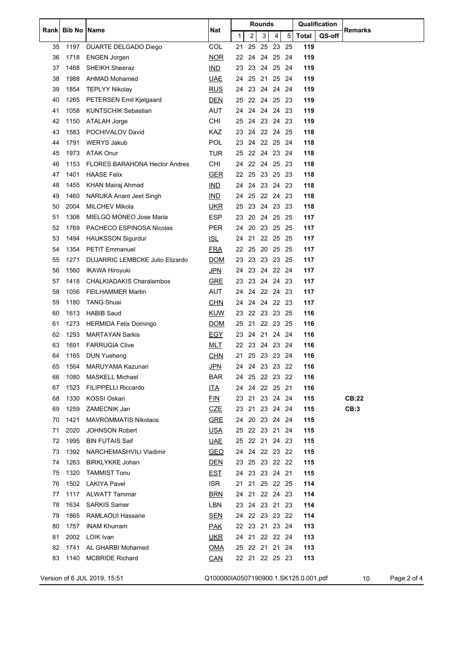| Rank | <b>Bib No</b> | <b>Name</b>                          | <b>Nat</b>                            |              |    |                | Rounds<br>Qualification |                |     |              |        |              |             |
|------|---------------|--------------------------------------|---------------------------------------|--------------|----|----------------|-------------------------|----------------|-----|--------------|--------|--------------|-------------|
|      |               |                                      |                                       | $\mathbf{1}$ |    | $\overline{c}$ | 3                       | 4              | 5   | <b>Total</b> | QS-off | Remarks      |             |
| 35   | 1197          | DUARTE DELGADO Diego                 | <b>COL</b>                            | 21           |    | 25             | 25                      | 23 25          |     | 119          |        |              |             |
| 36   | 1718          | <b>ENGEN Jorgen</b>                  | <b>NOR</b>                            |              |    |                |                         | 22 24 24 25 24 |     | 119          |        |              |             |
| 37   | 1468          | <b>SHEIKH Sheeraz</b>                | IMD                                   |              |    |                |                         | 23 23 24 25 24 |     | 119          |        |              |             |
| 38   | 1988          | <b>AHMAD Mohamed</b>                 | UAE                                   | 24           |    | 25             | -21                     | 25 24          |     | 119          |        |              |             |
| 39   | 1854          | <b>TEPLYY Nikolay</b>                | <b>RUS</b>                            |              |    | 24 23          |                         | 24 24 24       |     | 119          |        |              |             |
| 40   | 1265          | PETERSEN Emil Kjelgaard              | <b>DEN</b>                            |              |    |                |                         | 25 22 24 25 23 |     | 119          |        |              |             |
| 41   | 1058          | <b>KUNTSCHIK Sebastian</b>           | <b>AUT</b>                            |              | 24 |                |                         | 24 24 24 23    |     | 119          |        |              |             |
| 42   | 1150          | ATALAH Jorge                         | CHI                                   | 25           |    |                |                         | 24 23 24       | -23 | 119          |        |              |             |
| 43   | 1583          | POCHIVALOV David                     | <b>KAZ</b>                            |              |    |                |                         | 23 24 22 24 25 |     | 118          |        |              |             |
| 44   | 1791          | <b>WERYS Jakub</b>                   | <b>POL</b>                            |              |    |                |                         | 23 24 22 25 24 |     | 118          |        |              |             |
| 45   | 1973          | <b>ATAK Onur</b>                     | <b>TUR</b>                            | 25           |    | 22             | 24                      | 23 24          |     | 118          |        |              |             |
| 46   | 1153          | <b>FLORES BARAHONA Hector Andres</b> | CHI                                   |              |    |                |                         | 24 22 24 25 23 |     | 118          |        |              |             |
| 47   | 1401          | <b>HAASE Felix</b>                   | <b>GER</b>                            |              |    |                |                         | 22 25 23 25 23 |     | 118          |        |              |             |
| 48   | 1455          | <b>KHAN Mairaj Ahmad</b>             | IND                                   |              |    |                |                         | 24 24 23 24 23 |     | 118          |        |              |             |
| 49   | 1460          | NARUKA Anant Jeet Singh              | <b>IND</b>                            | 24           |    | 25             |                         | 22 24 23       |     | 118          |        |              |             |
| 50   | 2004          | MILCHEV Mikola                       | <b>UKR</b>                            | 25           |    |                |                         | 23 24 23 23    |     | 118          |        |              |             |
| 51   | 1308          | MIELGO MONEO Jose Maria              | <b>ESP</b>                            |              |    |                |                         | 23 20 24 25 25 |     | 117          |        |              |             |
| 52   | 1769          | PACHECO ESPINOSA Nicolas             | <b>PER</b>                            | 24           |    | 20             |                         | 23 25 25       |     | 117          |        |              |             |
| 53   | 1494          | <b>HAUKSSON Sigurdur</b>             | <b>ISL</b>                            | 24           |    | 21             |                         | 22 25 25       |     | 117          |        |              |             |
| 54   | 1354          | <b>PETIT Emmanuel</b>                | <b>FRA</b>                            |              |    |                |                         | 22 25 20 25 25 |     | 117          |        |              |             |
| 55   | 1271          | DUJARRIC LEMBCKE Julio Elizardo      | <b>DOM</b>                            |              |    |                |                         | 23 23 23 23 25 |     | 117          |        |              |             |
| 56   | 1560          | <b>IKAWA Hiroyuki</b>                | <u>JPN</u>                            | 24           |    |                |                         | 23 24 22 24    |     | 117          |        |              |             |
| 57   | 1418          | <b>CHALKIADAKIS Charalambos</b>      | <b>GRE</b>                            | 23           |    |                |                         | 23 24 24 23    |     | 117          |        |              |             |
| 58   | 1056          | <b>FEILHAMMER Martin</b>             | <b>AUT</b>                            | 24           |    |                |                         | 24 22 24 23    |     | 117          |        |              |             |
| 59   | 1180          | <b>TANG Shuai</b>                    | <b>CHN</b>                            | 24           |    | 24             |                         | 24 22 23       |     | 117          |        |              |             |
| 60   | 1613          | <b>HABIB Saud</b>                    | <b>KUW</b>                            |              |    |                |                         | 23 22 23 23 25 |     | 116          |        |              |             |
| 61   | 1273          | <b>HERMIDA Felix Domingo</b>         | <b>DOM</b>                            |              |    |                |                         | 25 21 22 23 25 |     | 116          |        |              |             |
| 62   | 1293          | <b>MARTAYAN Sarkis</b>               | <u>EGY</u>                            |              |    |                |                         | 23 24 21 24 24 |     | 116          |        |              |             |
| 63   | 1691          | <b>FARRUGIA Clive</b>                | <b>MLT</b>                            |              |    |                | 22 23 24                | 23             | -24 | 116          |        |              |             |
| 64   | 1165          | DUN Yueheng                          | <b>CHN</b>                            |              |    |                |                         | 21 25 23 23 24 |     | 116          |        |              |             |
| 65   | 1564          | MARUYAMA Kazunari                    | <u>JPN</u>                            |              |    |                |                         | 24 24 23 23 22 |     | 116          |        |              |             |
| 66   | 1080          | <b>MASKELL Michael</b>               | <b>BAR</b>                            |              |    |                |                         | 24 25 22 23 22 |     | 116          |        |              |             |
| 67   | 1523          | <b>FILIPPELLI Riccardo</b>           | <b>ITA</b>                            |              |    |                |                         | 24 24 22 25 21 |     | 116          |        |              |             |
| 68   | 1330          | KOSSI Oskari                         | EIN                                   |              |    |                |                         | 23 21 23 24 24 |     | 115          |        | <b>CB:22</b> |             |
| 69   | 1259          | ZAMECNIK Jan                         | <b>CZE</b>                            |              |    |                |                         | 23 21 23 24 24 |     | 115          |        | CB:3         |             |
| 70   | 1421          | <b>MAVROMMATIS Nikolaos</b>          | <b>GRE</b>                            |              |    |                |                         | 24 20 23 24 24 |     | 115          |        |              |             |
| 71   | 2020          | <b>JOHNSON Robert</b>                | <u>USA</u>                            |              |    |                |                         | 25 22 23 21 24 |     | 115          |        |              |             |
| 72   | 1995          | <b>BIN FUTAIS Saif</b>               | <b>UAE</b>                            |              |    |                |                         | 25 22 21 24 23 |     | 115          |        |              |             |
| 73   | 1392          | NARCHEMASHVILI Vladimir              | <b>GEO</b>                            |              |    |                |                         | 24 24 22 23 22 |     | 115          |        |              |             |
| 74   | 1263          | <b>BIRKLYKKE Johan</b>               | <u>DEN</u>                            |              |    |                |                         | 23 25 23 22 22 |     | 115          |        |              |             |
| 75   | 1320          | <b>TAMMIST Tonu</b>                  | <b>EST</b>                            |              |    |                |                         | 24 23 23 24 21 |     | 115          |        |              |             |
| 76   | 1502          | <b>LAKIYA Pavel</b>                  | <b>ISR</b>                            |              |    |                |                         | 21 21 25 22 25 |     | 114          |        |              |             |
| 77   | 1117          | <b>ALWATT Tammar</b>                 | <b>BRN</b>                            |              |    |                |                         | 24 21 22 24 23 |     | 114          |        |              |             |
| 78   | 1634          | <b>SARKIS Samer</b>                  | LBN                                   |              |    |                |                         | 23 24 23 21 23 |     | 114          |        |              |             |
| 79   | 1865          | RAMLAOUI Hassane                     | <u>SEN</u>                            |              |    |                |                         | 24 22 23 23 22 |     | 114          |        |              |             |
| 80   | 1757          | <b>INAM Khurram</b>                  | <u>PAK</u>                            |              |    |                |                         | 22 23 21 23 24 |     | 113          |        |              |             |
| 81   |               | 2002 LOIK Ivan                       | <u>UKR</u>                            |              |    |                |                         | 24 21 22 22 24 |     | 113          |        |              |             |
| 82   | 1741          | AL GHARBI Mohamed                    | <b>OMA</b>                            |              |    |                |                         | 25 22 21 21 24 |     | 113          |        |              |             |
| 83   | 1140          | <b>MCBRIDE Richard</b>               | <u>CAN</u>                            |              |    |                |                         | 22 21 22 25 23 |     | 113          |        |              |             |
|      |               |                                      |                                       |              |    |                |                         |                |     |              |        |              |             |
|      |               | Version of 6 JUL 2019, 15:51         | Q100000IA0507190900.1.SK125.0.001.pdf |              |    |                |                         |                |     |              |        | 10           | Page 2 of 4 |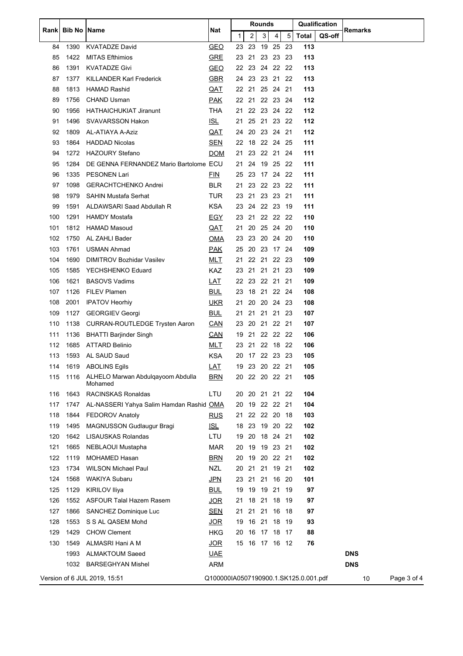| Rank | <b>Bib No</b> | Name                                         | Nat        | Rounds |                |       |                |     | Qualification                         |        | Remarks    |    |             |
|------|---------------|----------------------------------------------|------------|--------|----------------|-------|----------------|-----|---------------------------------------|--------|------------|----|-------------|
|      |               |                                              |            | 1      | $\overline{c}$ | 3     | 4              | 5   | <b>Total</b>                          | QS-off |            |    |             |
| 84   | 1390          | <b>KVATADZE David</b>                        | <b>GEO</b> | 23 23  |                |       | 19 25 23       |     | 113                                   |        |            |    |             |
| 85   | 1422          | <b>MITAS Efthimios</b>                       | <b>GRE</b> |        |                |       | 23 21 23 23 23 |     | 113                                   |        |            |    |             |
| 86   | 1391          | <b>KVATADZE Givi</b>                         | <b>GEO</b> |        |                |       | 22 23 24 22 22 |     | 113                                   |        |            |    |             |
| 87   | 1377          | <b>KILLANDER Karl Frederick</b>              | <b>GBR</b> | 24 23  |                |       | 23 21 22       |     | 113                                   |        |            |    |             |
| 88   | 1813          | <b>HAMAD Rashid</b>                          | <u>QAT</u> |        |                |       | 22 21 25 24 21 |     | 113                                   |        |            |    |             |
| 89   | 1756          | <b>CHAND Usman</b>                           | <u>PAK</u> |        |                |       | 22 21 22 23 24 |     | 112                                   |        |            |    |             |
| 90   | 1956          | HATHAICHUKIAT Jiranunt                       | THA        | 21     |                |       | 22 23 24 22    |     | 112                                   |        |            |    |             |
| 91   | 1496          | <b>SVAVARSSON Hakon</b>                      | <u>ISL</u> |        |                |       | 21 25 21 23 22 |     | 112                                   |        |            |    |             |
| 92   | 1809          | AL-ATIAYA A-Aziz                             | <u>QAT</u> | 24     |                |       | 20 23 24 21    |     | 112                                   |        |            |    |             |
| 93   | 1864          | <b>HADDAD Nicolas</b>                        | <u>SEN</u> |        |                |       | 22 18 22 24 25 |     | 111                                   |        |            |    |             |
| 94   | 1272          | <b>HAZOURY Stefano</b>                       | <b>DOM</b> | 21     | 23             |       | 22 21 24       |     | 111                                   |        |            |    |             |
| 95   | 1284          | DE GENNA FERNANDEZ Mario Bartolome ECU       |            | 21     | 24             |       | 19 25 22       |     | 111                                   |        |            |    |             |
| 96   | 1335          | <b>PESONEN Lari</b>                          | <b>FIN</b> |        |                |       | 25 23 17 24 22 |     | 111                                   |        |            |    |             |
| 97   | 1098          | <b>GERACHTCHENKO Andrei</b>                  | BLR.       | 21     |                |       | 23 22 23 22    |     | 111                                   |        |            |    |             |
| 98   | 1979          | <b>SAHIN Mustafa Serhat</b>                  | <b>TUR</b> |        |                |       | 23 21 23 23 21 |     | 111                                   |        |            |    |             |
| 99   | 1591          | ALDAWSARI Saad Abdullah R                    | <b>KSA</b> |        |                |       | 23 24 22 23 19 |     | 111                                   |        |            |    |             |
| 100  | 1291          | HAMDY Mostafa                                | <u>EGY</u> |        |                |       | 23 21 22 22 22 |     | 110                                   |        |            |    |             |
| 101  | 1812          | <b>HAMAD Masoud</b>                          | QAT        | 21     | 20             |       | 25 24 20       |     | 110                                   |        |            |    |             |
| 102  | 1750          | AL ZAHLI Bader                               | <u>OMA</u> | 23 23  |                |       | 20 24 20       |     | 110                                   |        |            |    |             |
| 103  | 1761          | <b>USMAN Ahmad</b>                           | <b>PAK</b> |        |                |       | 25 20 23 17 24 |     | 109                                   |        |            |    |             |
| 104  | 1690          | DIMITROV Bozhidar Vasilev                    | <u>MLT</u> |        |                |       | 21 22 21 22 23 |     | 109                                   |        |            |    |             |
| 105  | 1585          | YECHSHENKO Eduard                            | KAZ        |        |                |       | 23 21 21 21 23 |     | 109                                   |        |            |    |             |
| 106  | 1621          | <b>BASOVS Vadims</b>                         | <u>LAT</u> |        |                |       | 22 23 22 21 21 |     | 109                                   |        |            |    |             |
| 107  | 1126          | <b>FILEV Plamen</b>                          | <b>BUL</b> |        |                |       | 23 18 21 22 24 |     | 108                                   |        |            |    |             |
| 108  | 2001          | <b>IPATOV Heorhiy</b>                        | <b>UKR</b> | 21     | 20             |       | 20 24 23       |     | 108                                   |        |            |    |             |
| 109  | 1127          | <b>GEORGIEV Georgi</b>                       | <b>BUL</b> |        |                |       | 21 21 21 21 23 |     | 107                                   |        |            |    |             |
| 110  | 1138          | <b>CURRAN-ROUTLEDGE Trysten Aaron</b>        | <u>CAN</u> |        |                |       | 23 20 21 22 21 |     | 107                                   |        |            |    |             |
| 111  | 1136          | <b>BHATTI Barjinder Singh</b>                | CAN        |        |                |       | 19 21 22 22 22 |     | 106                                   |        |            |    |             |
| 112  | 1685          | ATTARD Belinio                               | <u>MLT</u> |        |                |       | 23 21 22 18 22 |     | 106                                   |        |            |    |             |
| 113  | 1593          | AL SAUD Saud                                 | <b>KSA</b> |        |                |       | 20 17 22 23 23 |     | 105                                   |        |            |    |             |
|      |               | 114 1619 ABOLINS Eqils                       | LAT        |        |                |       | 19 23 20 22 21 |     | 105                                   |        |            |    |             |
| 115  | 1116          | ALHELO Marwan Abdulgayoom Abdulla<br>Mohamed | <b>BRN</b> |        |                |       | 20 22 20 22 21 |     | 105                                   |        |            |    |             |
| 116  | 1643          | <b>RACINSKAS Ronaldas</b>                    | LTU        |        |                |       | 20 20 21 21 22 |     | 104                                   |        |            |    |             |
| 117  | 1747          | AL-NASSERI Yahya Salim Hamdan Rashid OMA     |            | 20     |                |       | 19 22 22 21    |     | 104                                   |        |            |    |             |
| 118  | 1844          | <b>FEDOROV Anatoly</b>                       | <u>RUS</u> | 21     |                |       | 22 22 20 18    |     | 103                                   |        |            |    |             |
| 119  | 1495          | <b>MAGNUSSON Gudlaugur Bragi</b>             | <u>ISL</u> |        |                |       | 18 23 19 20 22 |     | 102                                   |        |            |    |             |
| 120  | 1642          | LISAUSKAS Rolandas                           | LTU        |        |                |       | 19 20 18 24 21 |     | 102                                   |        |            |    |             |
| 121  | 1665          | NEBLAOUI Mustapha                            | <b>MAR</b> | 20     | 19             |       | 19 23 21       |     | 102                                   |        |            |    |             |
| 122  | 1119          | <b>MOHAMED Hasan</b>                         | <b>BRN</b> | 20     | 19             |       | 20 22 21       |     | 102                                   |        |            |    |             |
| 123  | 1734          | <b>WILSON Michael Paul</b>                   | <b>NZL</b> |        |                |       | 20 21 21 19 21 |     | 102                                   |        |            |    |             |
| 124  | 1568          | <b>WAKIYA Subaru</b>                         | <u>JPN</u> |        | 23 21          | 21    | 16 20          |     | 101                                   |        |            |    |             |
| 125  | 1129          | <b>KIRILOV Iliya</b>                         | <b>BUL</b> | 19     | - 19           |       | 19 21 19       |     | 97                                    |        |            |    |             |
| 126  | 1552          | ASFOUR Talal Hazem Rasem                     | <u>JOR</u> | 21     | 18             | 21    | 18             | -19 | 97                                    |        |            |    |             |
| 127  | 1866          | SANCHEZ Dominique Luc                        | <b>SEN</b> |        |                |       | 21 21 21 16 18 |     | 97                                    |        |            |    |             |
| 128  | 1553          | S S AL QASEM Mohd                            | <b>JOR</b> | 19     |                | 16 21 | 18             | -19 | 93                                    |        |            |    |             |
| 129  | 1429          | <b>CHOW Clement</b>                          | HKG        | 20     | -16            |       | 17 18 17       |     | 88                                    |        |            |    |             |
| 130  | 1549          | ALMASRI Hani A M                             | <u>JOR</u> |        |                |       | 15 16 17 16 12 |     | 76                                    |        |            |    |             |
|      | 1993          | <b>ALMAKTOUM Saeed</b>                       | <b>UAE</b> |        |                |       |                |     |                                       |        | <b>DNS</b> |    |             |
|      | 1032          | <b>BARSEGHYAN Mishel</b>                     | <b>ARM</b> |        |                |       |                |     |                                       |        | <b>DNS</b> |    |             |
|      |               | Version of 6 JUL 2019, 15:51                 |            |        |                |       |                |     | Q100000IA0507190900.1.SK125.0.001.pdf |        |            | 10 | Page 3 of 4 |